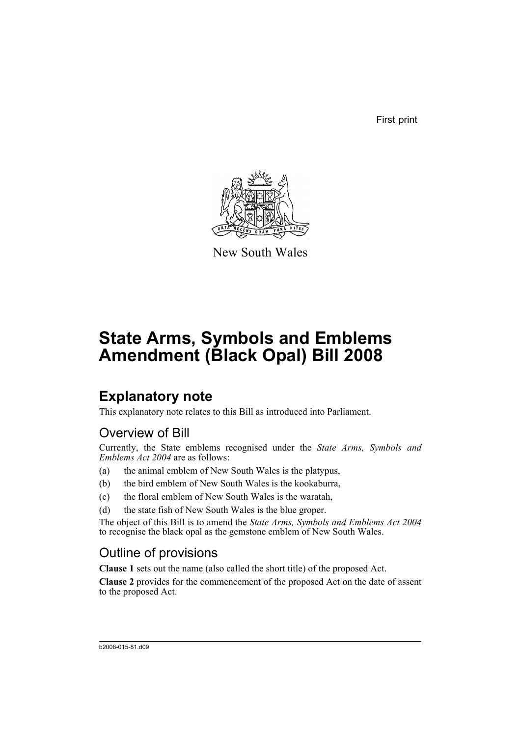First print



New South Wales

# **State Arms, Symbols and Emblems Amendment (Black Opal) Bill 2008**

### **Explanatory note**

This explanatory note relates to this Bill as introduced into Parliament.

### Overview of Bill

Currently, the State emblems recognised under the *State Arms, Symbols and Emblems Act 2004* are as follows:

- (a) the animal emblem of New South Wales is the platypus,
- (b) the bird emblem of New South Wales is the kookaburra,
- (c) the floral emblem of New South Wales is the waratah,
- (d) the state fish of New South Wales is the blue groper.

The object of this Bill is to amend the *State Arms, Symbols and Emblems Act 2004* to recognise the black opal as the gemstone emblem of New South Wales.

### Outline of provisions

**Clause 1** sets out the name (also called the short title) of the proposed Act.

**Clause 2** provides for the commencement of the proposed Act on the date of assent to the proposed Act.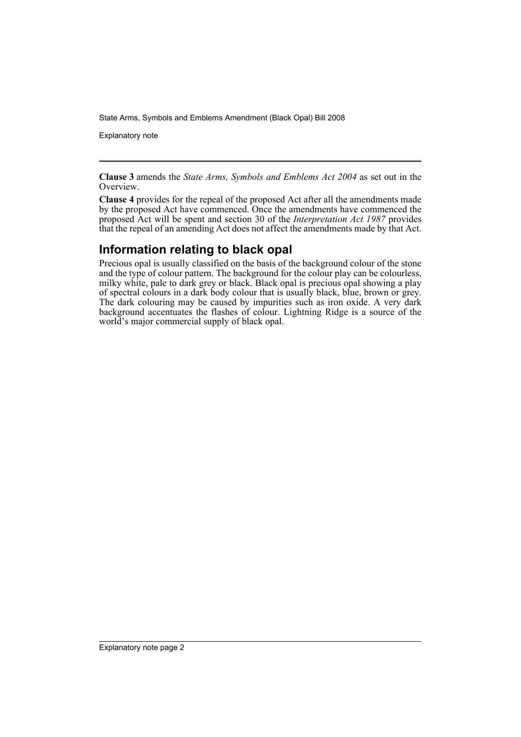State Arms, Symbols and Emblems Amendment (Black Opal) Bill 2008

Explanatory note

**Clause 3** amends the *State Arms, Symbols and Emblems Act 2004* as set out in the Overview.

**Clause 4** provides for the repeal of the proposed Act after all the amendments made by the proposed Act have commenced. Once the amendments have commenced the proposed Act will be spent and section 30 of the *Interpretation Act 1987* provides that the repeal of an amending Act does not affect the amendments made by that Act.

#### **Information relating to black opal**

Precious opal is usually classified on the basis of the background colour of the stone and the type of colour pattern. The background for the colour play can be colourless, milky white, pale to dark grey or black. Black opal is precious opal showing a play of spectral colours in a dark body colour that is usually black, blue, brown or grey. The dark colouring may be caused by impurities such as iron oxide. A very dark background accentuates the flashes of colour. Lightning Ridge is a source of the world's major commercial supply of black opal.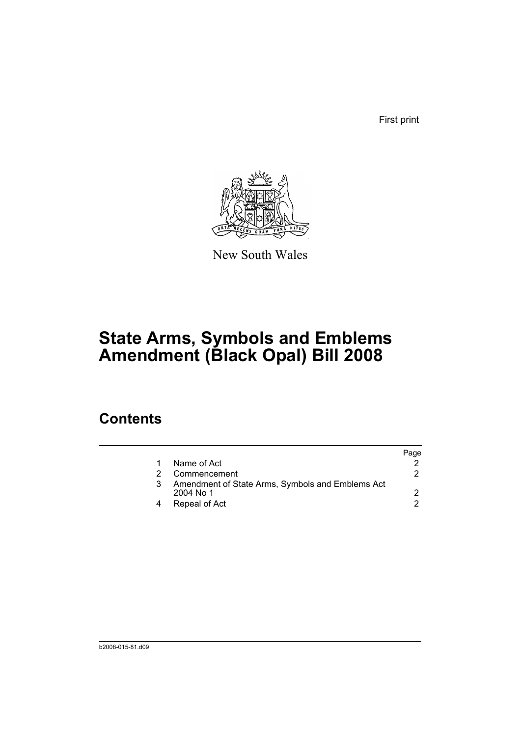First print



New South Wales

# **State Arms, Symbols and Emblems Amendment (Black Opal) Bill 2008**

### **Contents**

|   |                                                                 | Page |
|---|-----------------------------------------------------------------|------|
|   | Name of Act                                                     |      |
|   | Commencement                                                    |      |
| 3 | Amendment of State Arms, Symbols and Emblems Act<br>$2004$ No 1 |      |
|   | Repeal of Act                                                   | 2    |
|   |                                                                 |      |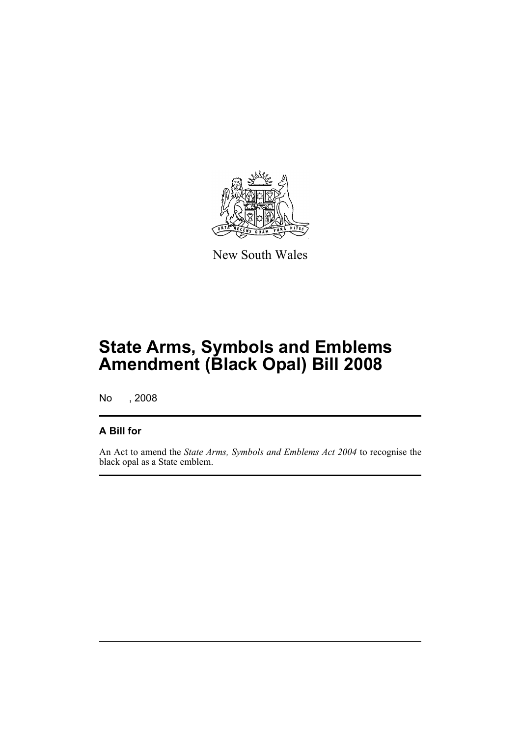

New South Wales

## **State Arms, Symbols and Emblems Amendment (Black Opal) Bill 2008**

No , 2008

#### **A Bill for**

An Act to amend the *State Arms, Symbols and Emblems Act 2004* to recognise the black opal as a State emblem.